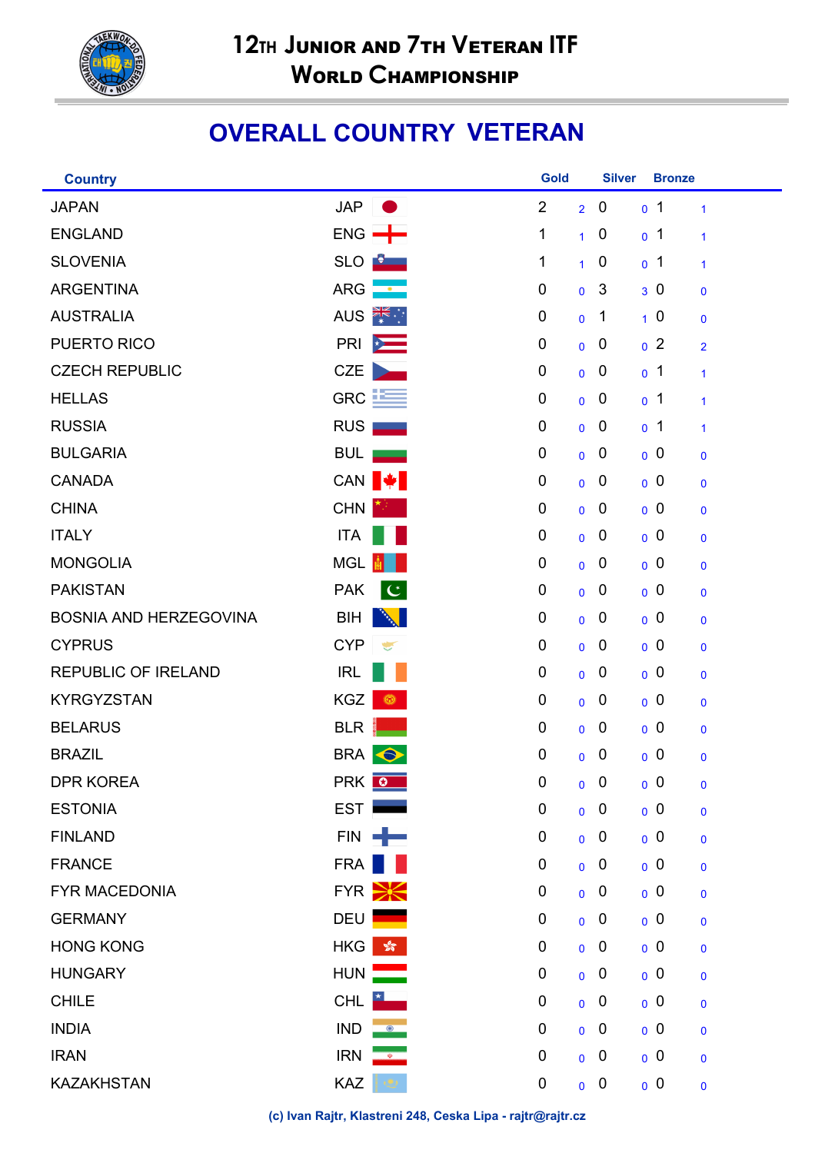

## **OVERALL COUNTRY VETERAN**

| <b>Country</b>                |                                   | <b>Gold</b>    |                | <b>Silver</b>    | <b>Bronze</b>  |                |
|-------------------------------|-----------------------------------|----------------|----------------|------------------|----------------|----------------|
| <b>JAPAN</b>                  | <b>JAP</b>                        | $\overline{2}$ | $\overline{2}$ | $\boldsymbol{0}$ | 0 <sub>1</sub> | $\mathbf{1}$   |
| <b>ENGLAND</b>                | $ENG \rightarrow$                 | 1              | $\mathbf{1}$   | $\boldsymbol{0}$ | 0 <sup>1</sup> | $\mathbf{1}$   |
| <b>SLOVENIA</b>               | <b>SLO</b><br>$\bullet$ $\bullet$ | 1              | $\mathbf{1}$   | $\boldsymbol{0}$ | 0 <sub>1</sub> | 1              |
| <b>ARGENTINA</b>              | <b>ARG</b><br>$\bullet$           | 0              | $\mathbf 0$    | 3                | 30             | $\mathbf 0$    |
| <b>AUSTRALIA</b>              | AUS <b>FOR 12</b>                 | 0              | $\mathbf{0}$   | $\mathbf 1$      | 10             | $\mathbf 0$    |
| PUERTO RICO                   | PRI<br>$\star$                    | 0              | $\mathbf 0$    | $\mathbf 0$      | 0 <sup>2</sup> | $\overline{2}$ |
| <b>CZECH REPUBLIC</b>         | <b>CZE</b>                        | 0              | $\mathbf 0$    | 0                | 0 <sub>1</sub> | $\mathbf{1}$   |
| <b>HELLAS</b>                 | $GRC$ $E$                         | 0              | $\overline{0}$ | 0                | 0 <sup>1</sup> | 1              |
| <b>RUSSIA</b>                 | <b>RUS</b>                        | 0              | $\mathbf 0$    | 0                | 0 <sub>1</sub> | 1              |
| <b>BULGARIA</b>               | <b>BUL</b>                        | 0              | $\mathbf 0$    | 0                | 0 <sup>0</sup> | $\mathbf 0$    |
| <b>CANADA</b>                 | CAN <sup>↓</sup>                  | 0              | $\overline{0}$ | 0                | 0 <sup>0</sup> | $\mathbf 0$    |
| <b>CHINA</b>                  | CHN                               | 0              | $\mathbf 0$    | 0                | 0 <sup>0</sup> | $\mathbf 0$    |
| <b>ITALY</b>                  | <b>ITA</b>                        | 0              | $\mathbf 0$    | 0                | 0 <sup>0</sup> | $\mathbf 0$    |
| <b>MONGOLIA</b>               | <b>MGL</b>                        | 0              | $\overline{0}$ | 0                | 0 <sup>0</sup> | $\mathbf 0$    |
| <b>PAKISTAN</b>               | <b>PAK</b><br>$\mathbf C$         | 0              | $\mathbf 0$    | 0                | 0 <sup>0</sup> | $\mathbf 0$    |
| <b>BOSNIA AND HERZEGOVINA</b> | <b>BIH</b>                        | 0              | $\mathbf 0$    | 0                | 0 <sup>0</sup> | $\mathbf 0$    |
| <b>CYPRUS</b>                 | <b>CYP</b><br>÷                   | 0              | $\overline{0}$ | 0                | 0 <sup>0</sup> | $\mathbf 0$    |
| <b>REPUBLIC OF IRELAND</b>    | <b>IRL</b>                        | 0              | $\mathbf 0$    | 0                | 0 <sup>0</sup> | $\mathbf 0$    |
| <b>KYRGYZSTAN</b>             | <b>KGZ</b><br>⊙                   | 0              | $\mathbf 0$    | 0                | 0 <sup>0</sup> | $\mathbf 0$    |
| <b>BELARUS</b>                | <b>BLR</b>                        | 0              | $\overline{0}$ | 0                | 0 <sup>0</sup> | 0              |
| <b>BRAZIL</b>                 | BRA  <br>$\bullet$                | 0              | $\overline{0}$ | $\mathbf 0$      | 0 <sup>0</sup> | 0              |
| <b>DPR KOREA</b>              | PRK 0                             | 0              |                | $0 \quad 0$      | 0 <sup>0</sup> | $\mathbf 0$    |
| <b>ESTONIA</b>                | <b>EST</b>                        | $\pmb{0}$      | $\mathbf 0$    | $\mathbf 0$      | 0 <sup>0</sup> | $\mathbf 0$    |
| <b>FINLAND</b>                | FIN -                             | 0              | $\mathbf 0$    | $\mathbf 0$      | 0 <sup>0</sup> | $\mathbf 0$    |
| <b>FRANCE</b>                 | FRA                               | 0              | $\overline{0}$ | $\boldsymbol{0}$ | 0 <sup>0</sup> | $\mathbf 0$    |
| <b>FYR MACEDONIA</b>          | $FYR \geq $                       | 0              | $\mathbf 0$    | $\boldsymbol{0}$ | 0 <sup>0</sup> | $\mathbf 0$    |
| <b>GERMANY</b>                | <b>DEU</b>                        | $\mathbf 0$    | $\mathbf 0$    | $\overline{0}$   | 0 <sup>0</sup> | $\mathbf 0$    |
| <b>HONG KONG</b>              | HKG<br>$\frac{\sqrt{2}}{2}$       | 0              | $\overline{0}$ | $\mathbf 0$      | 0 <sup>0</sup> | $\mathbf 0$    |
| <b>HUNGARY</b>                | <b>HUN</b>                        | $\pmb{0}$      | $\mathbf 0$    | $\boldsymbol{0}$ | 0 <sup>0</sup> | $\mathbf 0$    |
| <b>CHILE</b>                  | <b>CHL</b>                        | $\mathbf 0$    | $\mathbf 0$    | $\overline{0}$   | 0 <sup>0</sup> | $\mathbf 0$    |
| <b>INDIA</b>                  | <b>IND</b><br>$\circ$             | 0              | $\overline{0}$ | $\mathbf 0$      | 0 <sup>0</sup> | $\mathbf 0$    |
| <b>IRAN</b>                   | <b>IRN</b><br><b>QD</b>           | $\pmb{0}$      | $\mathbf 0$    | $\mathbf 0$      | 0 <sup>0</sup> | $\mathbf 0$    |
| <b>KAZAKHSTAN</b>             | <b>KAZ</b>                        | $\mathbf 0$    | $\mathbf 0$    | $\mathbf 0$      | 0 <sup>0</sup> | $\mathbf 0$    |